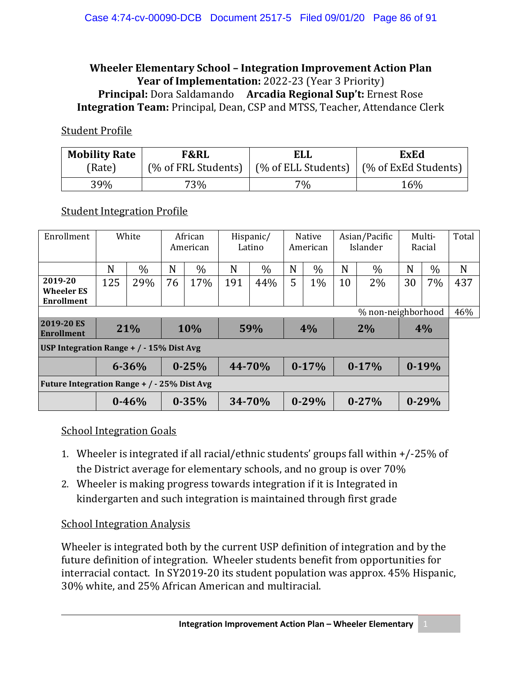#### **Wheeler Elementary School – Integration Improvement Action Plan Year of Implementation:** 2022-23 (Year 3 Priority) **Principal:** Dora Saldamando **Arcadia Regional Sup't:** Ernest Rose **Integration Team:** Principal, Dean, CSP and MTSS, Teacher, Attendance Clerk

#### Student Profile

| <b>Mobility Rate</b> | <b>F&amp;RL</b>     | <b>ELL</b> | ExEd                                              |  |  |  |
|----------------------|---------------------|------------|---------------------------------------------------|--|--|--|
| (Rate)               | (% of FRL Students) |            | $\mid$ (% of ELL Students)   (% of ExEd Students) |  |  |  |
| 39%                  | 73%                 | $7\%$      | 16%                                               |  |  |  |

#### Student Integration Profile

| Enrollment                                        | White      |           | African<br>American |           | Hispanic/<br>Latino |               | <b>Native</b><br>American |           | Asian/Pacific<br>Islander |               | Multi-<br>Racial |           | Total |
|---------------------------------------------------|------------|-----------|---------------------|-----------|---------------------|---------------|---------------------------|-----------|---------------------------|---------------|------------------|-----------|-------|
|                                                   | N          | $\%$      | N                   | $\%$      | N                   | $\frac{0}{0}$ | N                         | $\%$      | N                         | $\frac{0}{0}$ | N                | $\%$      | N     |
| 2019-20<br><b>Wheeler ES</b><br><b>Enrollment</b> | 125        | 29%       | 76                  | 17%       | 191                 | 44%           | 5                         | 1%        | 10                        | $2\%$         | 30               | 7%        | 437   |
| % non-neighborhood                                |            |           |                     |           |                     |               |                           |           |                           |               |                  | 46%       |       |
| 2019-20 ES<br><b>Enrollment</b>                   | 21%<br>10% |           |                     | 59%       |                     | 4%            |                           | 2%        |                           | 4%            |                  |           |       |
| USP Integration Range $+$ / $-$ 15% Dist Avg      |            |           |                     |           |                     |               |                           |           |                           |               |                  |           |       |
|                                                   |            | $6 - 36%$ | $0 - 25%$           |           | 44-70%              |               | $0-17%$                   |           | $0-17%$                   |               | $0-19%$          |           |       |
| Future Integration Range + / - 25% Dist Avg       |            |           |                     |           |                     |               |                           |           |                           |               |                  |           |       |
|                                                   |            | $0 - 46%$ |                     | $0 - 35%$ |                     | 34-70%        |                           | $0 - 29%$ |                           | $0 - 27%$     |                  | $0 - 29%$ |       |

#### School Integration Goals

- 1. Wheeler is integrated if all racial/ethnic students' groups fall within +/-25% of the District average for elementary schools, and no group is over 70%
- 2. Wheeler is making progress towards integration if it is Integrated in kindergarten and such integration is maintained through first grade

#### School Integration Analysis

Wheeler is integrated both by the current USP definition of integration and by the future definition of integration. Wheeler students benefit from opportunities for interracial contact. In SY2019-20 its student population was approx. 45% Hispanic, 30% white, and 25% African American and multiracial.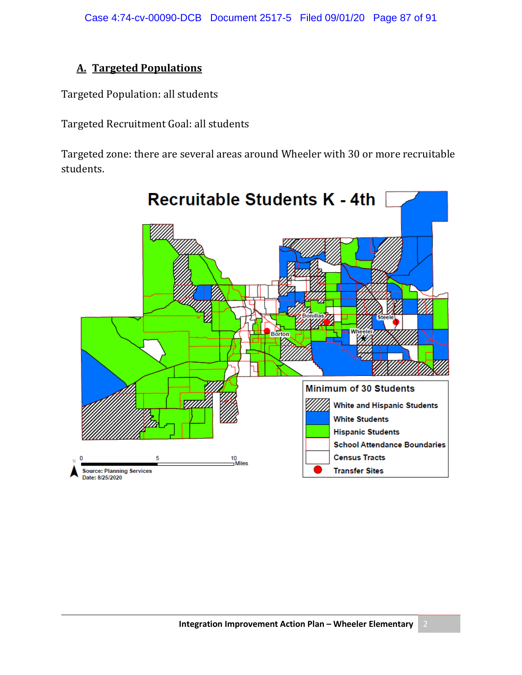## **A. Targeted Populations**

Targeted Population: all students

Targeted Recruitment Goal: all students

Targeted zone: there are several areas around Wheeler with 30 or more recruitable students.

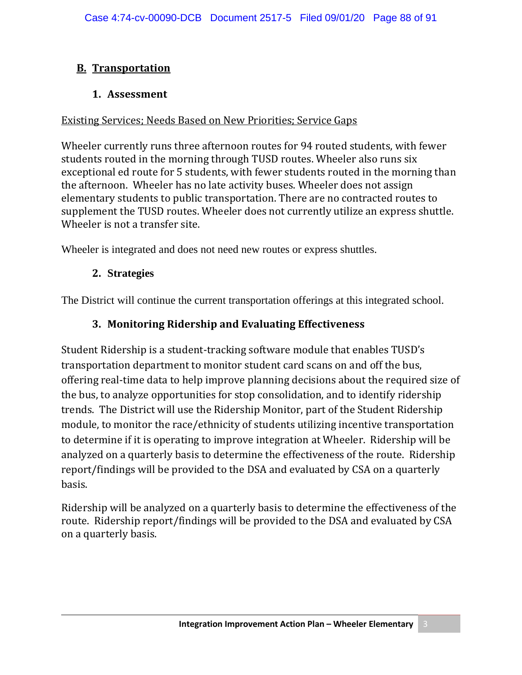## **B. Transportation**

#### **1. Assessment**

#### Existing Services; Needs Based on New Priorities; Service Gaps

Wheeler currently runs three afternoon routes for 94 routed students, with fewer students routed in the morning through TUSD routes. Wheeler also runs six exceptional ed route for 5 students, with fewer students routed in the morning than the afternoon. Wheeler has no late activity buses. Wheeler does not assign elementary students to public transportation. There are no contracted routes to supplement the TUSD routes. Wheeler does not currently utilize an express shuttle. Wheeler is not a transfer site.

Wheeler is integrated and does not need new routes or express shuttles.

#### **2. Strategies**

The District will continue the current transportation offerings at this integrated school.

#### **3. Monitoring Ridership and Evaluating Effectiveness**

Student Ridership is a student-tracking software module that enables TUSD's transportation department to monitor student card scans on and off the bus, offering real-time data to help improve planning decisions about the required size of the bus, to analyze opportunities for stop consolidation, and to identify ridership trends. The District will use the Ridership Monitor, part of the Student Ridership module, to monitor the race/ethnicity of students utilizing incentive transportation to determine if it is operating to improve integration at Wheeler. Ridership will be analyzed on a quarterly basis to determine the effectiveness of the route. Ridership report/findings will be provided to the DSA and evaluated by CSA on a quarterly basis.

Ridership will be analyzed on a quarterly basis to determine the effectiveness of the route. Ridership report/findings will be provided to the DSA and evaluated by CSA on a quarterly basis.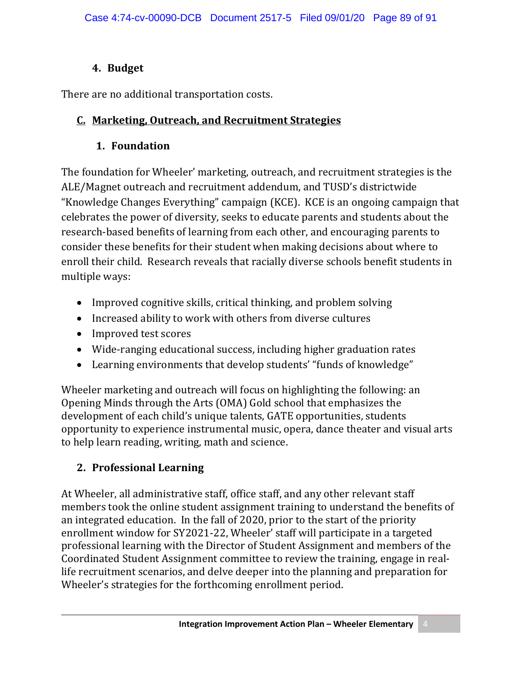# **4. Budget**

There are no additional transportation costs.

# **C. Marketing, Outreach, and Recruitment Strategies**

# **1. Foundation**

The foundation for Wheeler' marketing, outreach, and recruitment strategies is the ALE/Magnet outreach and recruitment addendum, and TUSD's districtwide "Knowledge Changes Everything" campaign (KCE). KCE is an ongoing campaign that celebrates the power of diversity, seeks to educate parents and students about the research-based benefits of learning from each other, and encouraging parents to consider these benefits for their student when making decisions about where to enroll their child. Research reveals that racially diverse schools benefit students in multiple ways:

- Improved cognitive skills, critical thinking, and problem solving
- Increased ability to work with others from diverse cultures
- Improved test scores
- Wide-ranging educational success, including higher graduation rates
- Learning environments that develop students' "funds of knowledge"

Wheeler marketing and outreach will focus on highlighting the following: an Opening Minds through the Arts (OMA) Gold school that emphasizes the development of each child's unique talents, GATE opportunities, students opportunity to experience instrumental music, opera, dance theater and visual arts to help learn reading, writing, math and science.

# **2. Professional Learning**

At Wheeler, all administrative staff, office staff, and any other relevant staff members took the online student assignment training to understand the benefits of an integrated education. In the fall of 2020, prior to the start of the priority enrollment window for SY2021-22, Wheeler' staff will participate in a targeted professional learning with the Director of Student Assignment and members of the Coordinated Student Assignment committee to review the training, engage in reallife recruitment scenarios, and delve deeper into the planning and preparation for Wheeler's strategies for the forthcoming enrollment period.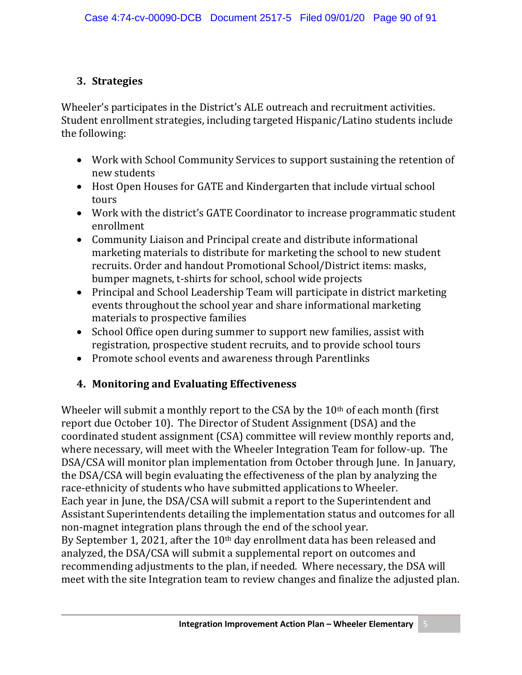## **3. Strategies**

Wheeler's participates in the District's ALE outreach and recruitment activities. Student enrollment strategies, including targeted Hispanic/Latino students include the following:

- Work with School Community Services to support sustaining the retention of new students
- Host Open Houses for GATE and Kindergarten that include virtual school tours
- Work with the district's GATE Coordinator to increase programmatic student enrollment
- Community Liaison and Principal create and distribute informational marketing materials to distribute for marketing the school to new student recruits. Order and handout Promotional School/District items: masks, bumper magnets, t-shirts for school, school wide projects
- Principal and School Leadership Team will participate in district marketing events throughout the school year and share informational marketing materials to prospective families
- School Office open during summer to support new families, assist with registration, prospective student recruits, and to provide school tours
- Promote school events and awareness through Parentlinks

## **4. Monitoring and Evaluating Effectiveness**

Wheeler will submit a monthly report to the CSA by the  $10<sup>th</sup>$  of each month (first report due October 10). The Director of Student Assignment (DSA) and the coordinated student assignment (CSA) committee will review monthly reports and, where necessary, will meet with the Wheeler Integration Team for follow-up. The DSA/CSA will monitor plan implementation from October through June. In January, the DSA/CSA will begin evaluating the effectiveness of the plan by analyzing the race-ethnicity of students who have submitted applications to Wheeler. Each year in June, the DSA/CSA will submit a report to the Superintendent and Assistant Superintendents detailing the implementation status and outcomes for all non-magnet integration plans through the end of the school year. By September 1, 2021, after the 10<sup>th</sup> day enrollment data has been released and analyzed, the DSA/CSA will submit a supplemental report on outcomes and recommending adjustments to the plan, if needed. Where necessary, the DSA will meet with the site Integration team to review changes and finalize the adjusted plan.